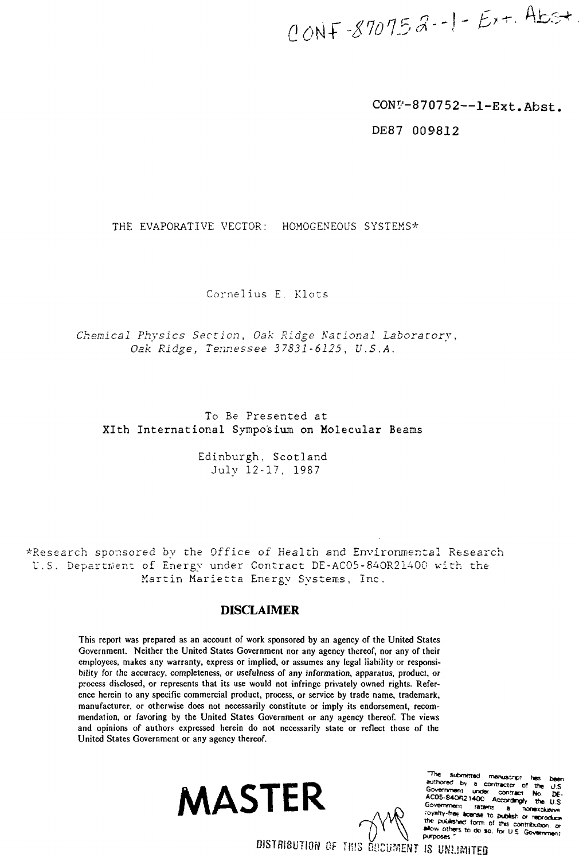CONF-870752-1- $Ex$ +. Abs+

CONU-870752--1-Ext. Abst.

DE87 009812

## THE EVAPORATIVE VECTOR: HOMOGENEOUS SYSTEMS\*

Cornelius E. Klots

Chemical Physics Section, Oak Ridge National Laboratory, Oak Ridge, Tennessee 37831-6125, U.S.A.

# To Be Presented at XIth International Symposium on Molecular Beams

Edinburgh, Scotland July 12-17, 1987

\*Research sponsored by the Office of Health and Environmental Research U.S. Department of Energy under Contract DE-AC05-840R21400 with the Martin Marietta Energy Systems, Inc.

# **DISCLAIMER**

This report was prepared as an account of work sponsored by an agency of the United States Government. Neither the United States Government nor any agency thereof, nor any of their employees, makes any warranty, express or implied, or assumes any legal liability or responsibility for the accuracy, completeness, or usefulness of any information, apparatus, product, or process disclosed, or represents that its use would not infringe privately owned rights. Reference herein to any specific commercial product, process, or service by trade name, trademark, manufacturer, or otherwise does not necessarily constitute or imply its endorsement, recommendation, or favoring by the United States Government or any agency thereof. The views and opinions of authors expressed herein do not necessarily state or reflect those of the United States Government or any agency thereof.





The **Thanks** suthored by **Intractor** AC05-840R21400 Governe **Covalty-free L** 188 TO publish or report shed form of this co allow oth to de se. for U.S. **purposes** 

DISTRIBUTION OF THIS DUCUMENT IS UNLIMITED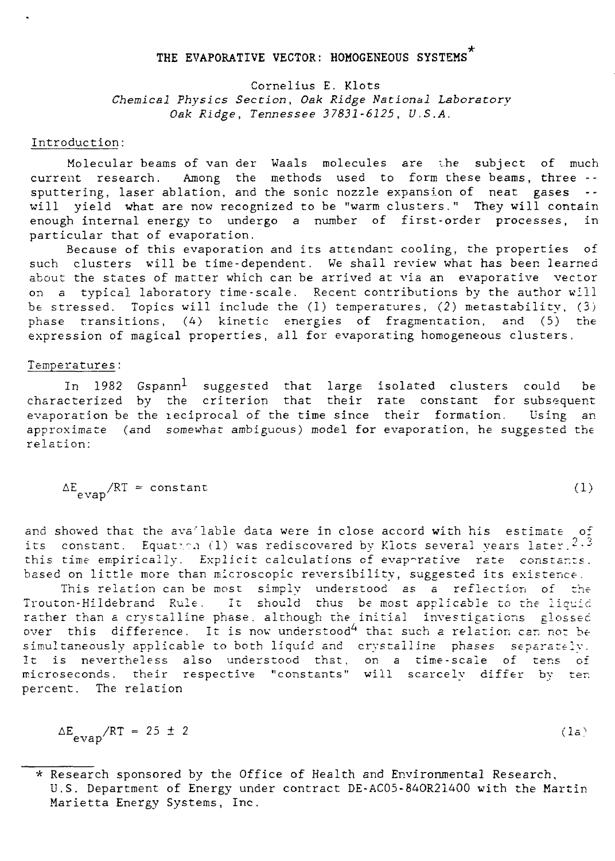# THE EVAPORATIVE VECTOR: HOMOGENEOUS SYSTEMS<sup>\*</sup>

Cornelius E. Klots Chemical Physics Section, Oak Ridge National Laboratory Oak Ridge, Tennessee 37831-6125, U.S.A.

#### Introduction:

Molecular beams of van der Waals molecules are i.he subject of much current research. Among the methods used to form these beams, three - sputtering, laser ablation, and the sonic nozzle expansion of neat gases -will yield what are now recognized to be "warm clusters." They will contain enough internal energy to undergo a number of first-order processes, in particular that of evaporation.

Because of this evaporation and its attendant cooling, the properties of such clusters will be time-dependent. We shall review what has been learned about the states of matter which can be arrived at via an evaporative vector on a typical laboratory time-scale. Recent contributions by the author will be stressed. Topics will include the (1) temperatures, (2) metastability, (3) phase transitions, (4) kinetic energies of fragmentation, and (5) the expression of magical properties, all for evaporating homogeneous clusters.

#### Temperatures:

In 1982 Gspann<sup>1</sup> suggested that large isolated clusters could be characterized by the criterion that their rate constant for subsequent evaporation be the leciprocal of the time since their formation. Using an approximate (and somewhat ambiguous) model for evaporation, he suggested the relation:

$$
\Delta E_{\text{evap}} / RT \approx \text{constant} \tag{1}
$$

and shoved that the available data were in close accord with his estimate of its constant. Equation (1) was rediscovered by Klots several years later.  $2.3$ this time empirically. Explicit calculations of evaporative rate constants, based on little more than microscopic reversibility, suggested its existence.

This relation can be most simply understood as a reflection of the Trouton-Hildebrand Rule. It should thus be most applicable to the liquid rather than a crystalline phase, although the initial investigations glossed over this difference. It is now understood<sup>4</sup> that such a relation can not be simultaneously applicable to both liquid and crystalline phases separately. It is nevertheless also understood that, on a time-scale of tens of microseconds. their respective "constants" will scarcely differ by ten percent. The relation

$$
\Delta E_{evap}/RT = 25 \pm 2 \tag{1a}
$$

<sup>\*</sup> Research sponsored by the Office of Health and Environmental Research, U.S. Department of Energy under contract DE-AC05-84OR21400 with the Martin Marietta Energy Systems, Inc.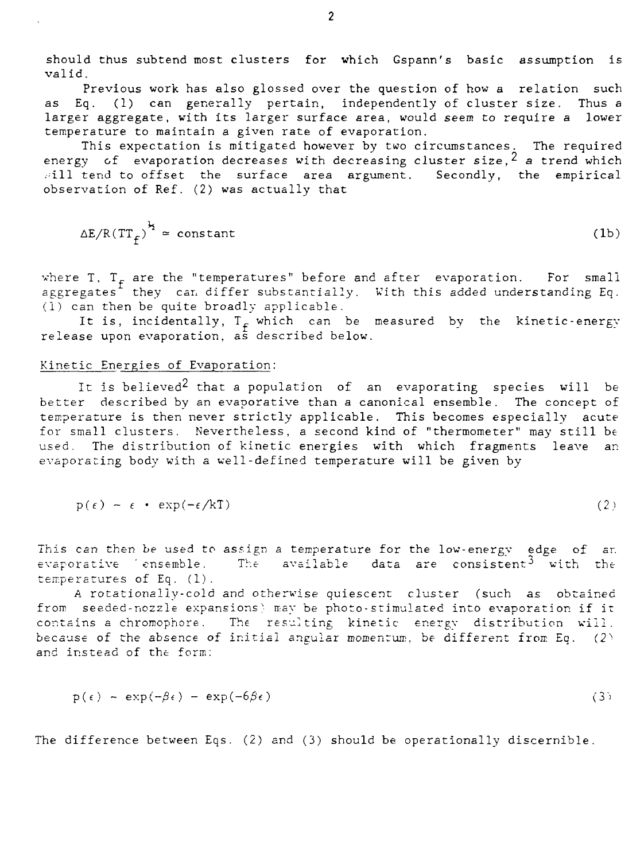should thus subtend most clusters for which Gspann's basic assumption is valid.

Previous work has also glossed over the question of how a relation such as Eq. (1) can generally pertain, independently of cluster size. Thus a larger aggregate, with its larger surface area, would seem to require a lower temperature to maintain a given rate of evaporation.

This expectation is mitigated however by two circumstances. The required energy of evaporation decreases with decreasing cluster size,  $2$  a trend which  $\pi$ ill tend to offset the surface area argument. Secondly, the empirical observation of Ref. (2) was actually that

$$
\Delta E / R (TT_f)^{\frac{1}{2}} \approx \text{constant} \tag{1b}
$$

where T,  $T<sub>F</sub>$  are the "temperatures" before and after evaporation. For small aggregates they can differ substantially. With this added understanding Eq. (1) can then be quite broadly applicable.

It is, incidentally,  $T_f$  which can be measured by the kinetic-energy release upon evaporation, as described below.

#### Kinetic Energies of Evaporation:

It is believed<sup>2</sup> that a population of an evaporating species will be better described by an evaporative than a canonical ensemble. The concept of temperature is then never strictly applicable. This becomes especially acute for small clusters. Nevertheless, a second kind of "thermometer" may still be used. The distribution of kinetic energies with which fragments leave an evaporating body with a well-defined temperature will be given by

$$
p(\epsilon) - \epsilon \cdot \exp(-\epsilon/kT) \tag{2}
$$

This can then be used to assign a temperature for the low-energy edge of ar. evaporative 'ensemble. The available data are consistent<sup>3</sup> with the temperatures of Eq. (1).

A rotationally-cold and otherwise quiescent cluster (such as obtained from seeded-nozzle expansions) may be photo-stimulated into evaporation if it contains a chromophore. The resulting kinetic energy distribution will. because of the absence of initial angular momentum, be different from Eq.  $(2)$ and instead of the form:

$$
p(\epsilon) - \exp(-\beta \epsilon) - \exp(-6\beta \epsilon)
$$
 (3)

The difference between Eqs. (2) and (3) should be operationally discernible.

 $\overline{2}$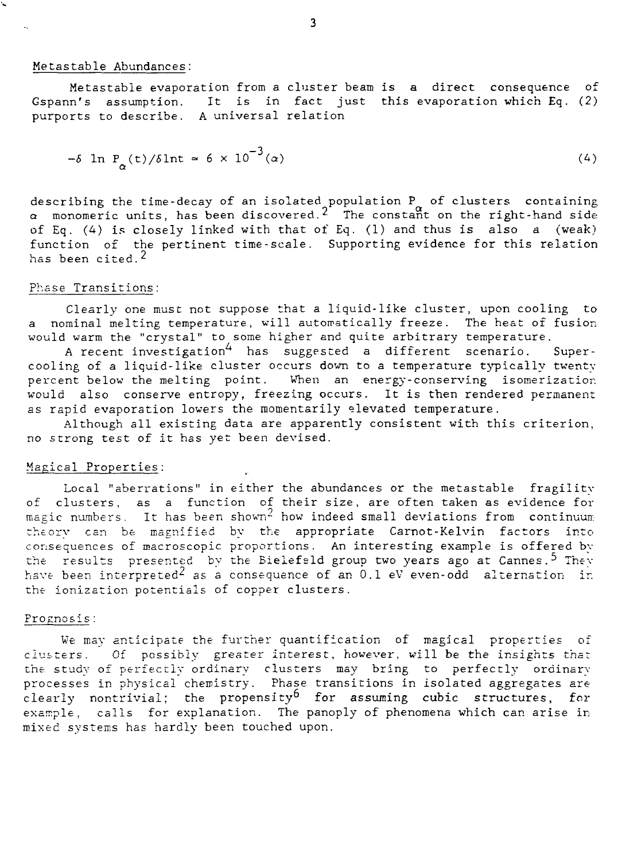#### Metastable Abundances;

L

Metastable evaporation from a cluster beam is a direct consequence of Gspann's assumption. It is in fact just this evaporation which Eq. (2) purports to describe. A universal relation

$$
-\delta \ln P_{\alpha}(t)/\delta \ln t \approx 6 \times 10^{-3}(\alpha) \tag{4}
$$

describing the time-decay of an isolated population P of clusters containing  $\alpha$  monomeric units, has been discovered. $^2$  The constant on the right-hand side of Eq. (4) is closely linked with that of Eq. (1) and thus is also  $a$  (weak) function of the pertinent time-scale. Supporting evidence for this relation has been cited. $<sup>2</sup>$ </sup>

#### Phase Transitions:

Clearly one must not suppose that a liquid-like cluster, upon cooling to a nominal melting temperature, will automatically freeze. The heat of fusion would warm the "crystal" to some higher and quite arbitrary temperature.

A recent investigation<sup>4</sup> has suggested a different scenario. Supercooling of a liquid-like cluster occurs down to a temperature typically twenty percent below the melting point. When an energy-conserving isomerizatior. would also conserve entropy, freezing occurs. It is then rendered permanent as rapid evaporation lowers the momentarily elevated temperature.

Although all existing data are apparently consistent with this criterion, no strong test of it has yet been devised.

### Magical Properties:

Local "aberrations" in either the abundances or the metastable fragility of clusters, as a function of their size, are often taken as evidence for magic numbers. It has been shown $^{\omega}$  how indeed small deviations from continuum theory can be magnified by the appropriate Carnot-Kelvin factors into consequences of macroscopic proportions. An interesting example is offered bv the results presented by the Bielefeld group two years ago at Cannes.<sup>5</sup> They have been interpreted<sup>2</sup> as a consequence of an 0.1 eV even-odd alternation in the ionization potentials of copper clusters.

#### Prognosis:

We may anticipate the further quantification of magical properties of clusters. Of possibly greater interest, however, will be the insights that the study of perfectly ordinary clusters may bring to perfectly ordinary processes in physical chemistry. Phase transitions in isolated aggregates are clearly nontrivial; the propensity<sup>b</sup> for assuming cubic structures, for example, calls for explanation. The panoply of phenomena which can arise in mixed systems has hardly been touched upon.